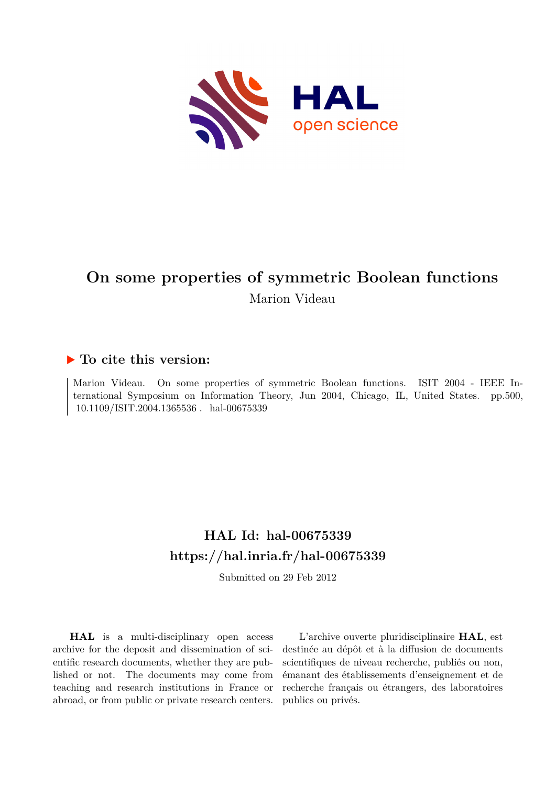

# **On some properties of symmetric Boolean functions** Marion Videau

### **To cite this version:**

Marion Videau. On some properties of symmetric Boolean functions. ISIT 2004 - IEEE International Symposium on Information Theory, Jun 2004, Chicago, IL, United States. pp.500,  $10.1109/ISIT.2004.1365536$ . hal-00675339

## **HAL Id: hal-00675339 <https://hal.inria.fr/hal-00675339>**

Submitted on 29 Feb 2012

**HAL** is a multi-disciplinary open access archive for the deposit and dissemination of scientific research documents, whether they are published or not. The documents may come from teaching and research institutions in France or abroad, or from public or private research centers.

L'archive ouverte pluridisciplinaire **HAL**, est destinée au dépôt et à la diffusion de documents scientifiques de niveau recherche, publiés ou non, émanant des établissements d'enseignement et de recherche français ou étrangers, des laboratoires publics ou privés.